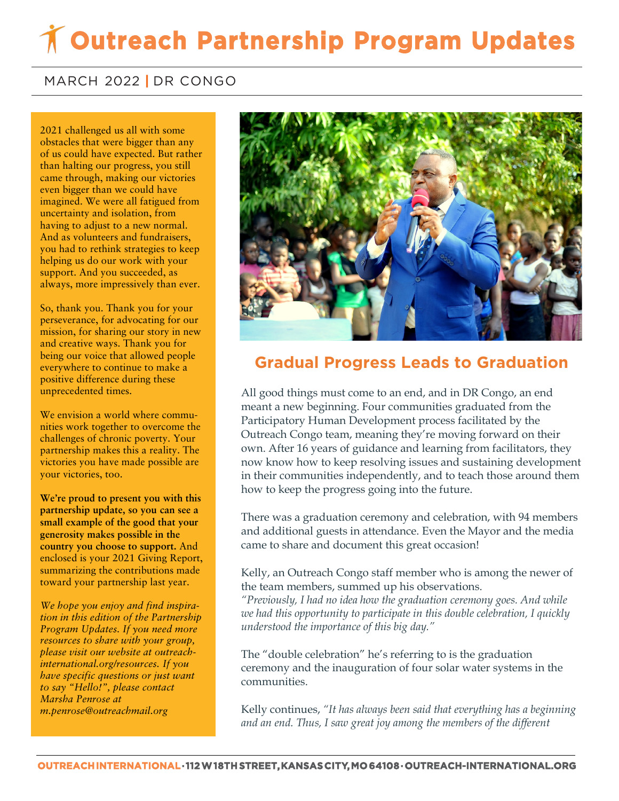# **Outreach Partnership Program Updates**

### MARCH 2022 **|** DR CONGO

 of us could have expected. But rather **came through, making our victories** 2021 challenged us all with some obstacles that were bigger than any than halting our progress, you still even bigger than we could have imagined. We were all fatigued from uncertainty and isolation, from having to adjust to a new normal. And as volunteers and fundraisers, you had to rethink strategies to keep helping us do our work with your support. And you succeeded, as always, more impressively than ever.

So, thank you. Thank you for your perseverance, for advocating for our mission, for sharing our story in new and creative ways. Thank you for being our voice that allowed people everywhere to continue to make a positive difference during these unprecedented times.

We envision a world where communities work together to overcome the challenges of chronic poverty. Your partnership makes this a reality. The victories you have made possible are your victories, too.

**We're proud to present you with this partnership update, so you can see a small example of the good that your generosity makes possible in the country you choose to support.** And enclosed is your 2021 Giving Report, summarizing the contributions made toward your partnership last year.

*We hope you enjoy and find inspiration in this edition of the Partnership Program Updates. If you need more resources to share with your group, please visit our website at outreachinternational.org/resources. If you have specific questions or just want to say "Hello!", please contact Marsha Penrose at m.penrose@outreachmail.org*



### **Gradual Progress Leads to Graduation**

All good things must come to an end, and in DR Congo, an end meant a new beginning. Four communities graduated from the Participatory Human Development process facilitated by the Outreach Congo team, meaning they're moving forward on their own. After 16 years of guidance and learning from facilitators, they now know how to keep resolving issues and sustaining development in their communities independently, and to teach those around them how to keep the progress going into the future.

There was a graduation ceremony and celebration, with 94 members and additional guests in attendance. Even the Mayor and the media came to share and document this great occasion!

Kelly, an Outreach Congo staff member who is among the newer of the team members, summed up his observations.

*"Previously, I had no idea how the graduation ceremony goes. And while we had this opportunity to participate in this double celebration, I quickly understood the importance of this big day."*

The "double celebration" he's referring to is the graduation ceremony and the inauguration of four solar water systems in the communities.

Kelly continues, *"It has always been said that everything has a beginning and an end. Thus, I saw great joy among the members of the different*